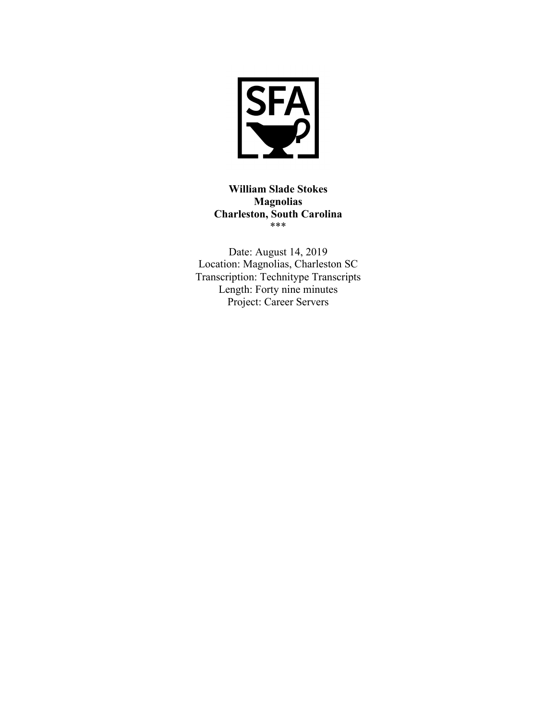

**William Slade Stokes Magnolias Charleston, South Carolina**  \*\*\*

Date: August 14, 2019 Location: Magnolias, Charleston SC Transcription: Technitype Transcripts Length: Forty nine minutes Project: Career Servers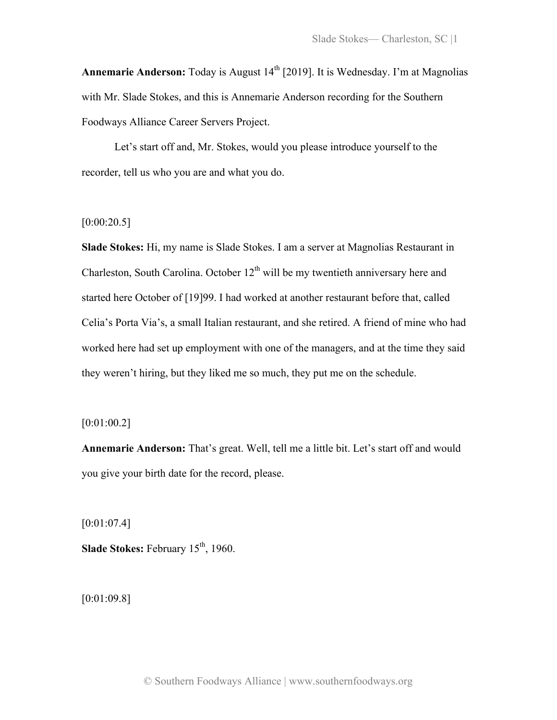**Annemarie Anderson:** Today is August 14<sup>th</sup> [2019]. It is Wednesday. I'm at Magnolias with Mr. Slade Stokes, and this is Annemarie Anderson recording for the Southern Foodways Alliance Career Servers Project.

Let's start off and, Mr. Stokes, would you please introduce yourself to the recorder, tell us who you are and what you do.

# $[0:00:20.5]$

**Slade Stokes:** Hi, my name is Slade Stokes. I am a server at Magnolias Restaurant in Charleston, South Carolina. October  $12<sup>th</sup>$  will be my twentieth anniversary here and started here October of [19]99. I had worked at another restaurant before that, called Celia's Porta Via's, a small Italian restaurant, and she retired. A friend of mine who had worked here had set up employment with one of the managers, and at the time they said they weren't hiring, but they liked me so much, they put me on the schedule.

# [0:01:00.2]

**Annemarie Anderson:** That's great. Well, tell me a little bit. Let's start off and would you give your birth date for the record, please.

[0:01:07.4]

**Slade Stokes:** February 15<sup>th</sup>, 1960.

[0:01:09.8]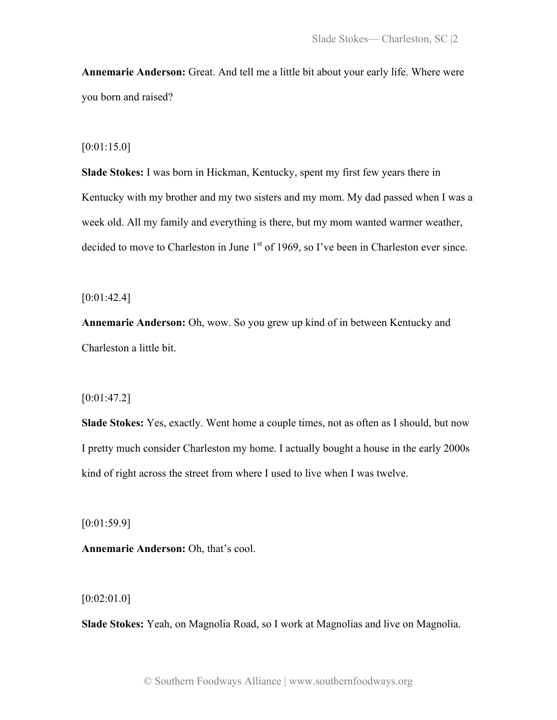**Annemarie Anderson:** Great. And tell me a little bit about your early life. Where were you born and raised?

# [0:01:15.0]

**Slade Stokes:** I was born in Hickman, Kentucky, spent my first few years there in Kentucky with my brother and my two sisters and my mom. My dad passed when I was a week old. All my family and everything is there, but my mom wanted warmer weather, decided to move to Charleston in June 1<sup>st</sup> of 1969, so I've been in Charleston ever since.

 $[0:01:42.4]$ 

**Annemarie Anderson:** Oh, wow. So you grew up kind of in between Kentucky and Charleston a little bit.

# $[0:01:47.2]$

**Slade Stokes:** Yes, exactly. Went home a couple times, not as often as I should, but now I pretty much consider Charleston my home. I actually bought a house in the early 2000s kind of right across the street from where I used to live when I was twelve.

[0:01:59.9]

**Annemarie Anderson:** Oh, that's cool.

[0:02:01.0]

**Slade Stokes:** Yeah, on Magnolia Road, so I work at Magnolias and live on Magnolia.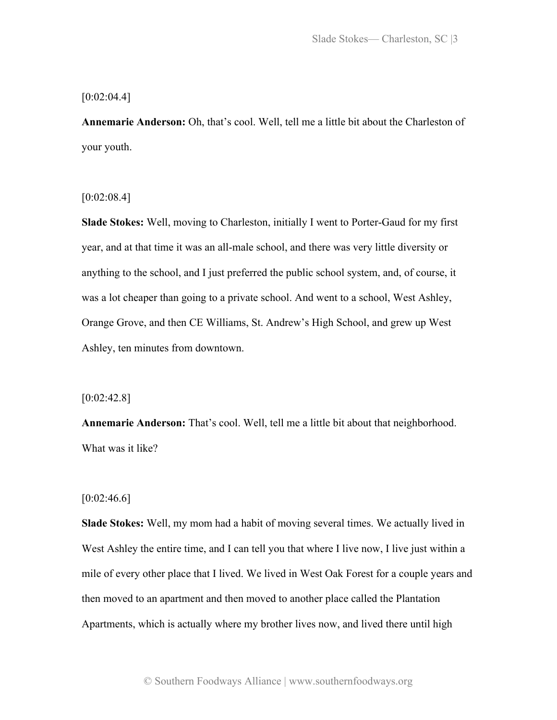#### $[0:02:04.4]$

**Annemarie Anderson:** Oh, that's cool. Well, tell me a little bit about the Charleston of your youth.

 $[0:02:08.4]$ 

**Slade Stokes:** Well, moving to Charleston, initially I went to Porter-Gaud for my first year, and at that time it was an all-male school, and there was very little diversity or anything to the school, and I just preferred the public school system, and, of course, it was a lot cheaper than going to a private school. And went to a school, West Ashley, Orange Grove, and then CE Williams, St. Andrew's High School, and grew up West Ashley, ten minutes from downtown.

 $[0:02:42.8]$ 

**Annemarie Anderson:** That's cool. Well, tell me a little bit about that neighborhood. What was it like?

# $[0:02:46.6]$

**Slade Stokes:** Well, my mom had a habit of moving several times. We actually lived in West Ashley the entire time, and I can tell you that where I live now, I live just within a mile of every other place that I lived. We lived in West Oak Forest for a couple years and then moved to an apartment and then moved to another place called the Plantation Apartments, which is actually where my brother lives now, and lived there until high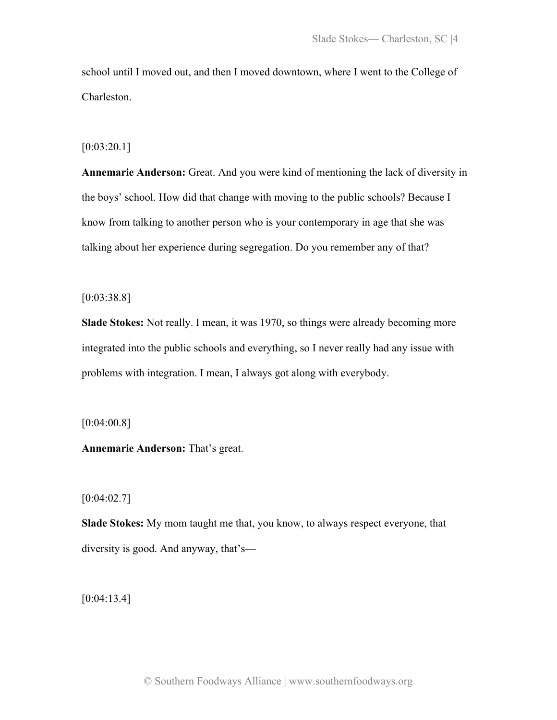school until I moved out, and then I moved downtown, where I went to the College of Charleston.

#### $[0:03:20.1]$

**Annemarie Anderson:** Great. And you were kind of mentioning the lack of diversity in the boys' school. How did that change with moving to the public schools? Because I know from talking to another person who is your contemporary in age that she was talking about her experience during segregation. Do you remember any of that?

# [0:03:38.8]

**Slade Stokes:** Not really. I mean, it was 1970, so things were already becoming more integrated into the public schools and everything, so I never really had any issue with problems with integration. I mean, I always got along with everybody.

[0:04:00.8]

**Annemarie Anderson:** That's great.

# $[0:04:02.7]$

**Slade Stokes:** My mom taught me that, you know, to always respect everyone, that diversity is good. And anyway, that's—

[0:04:13.4]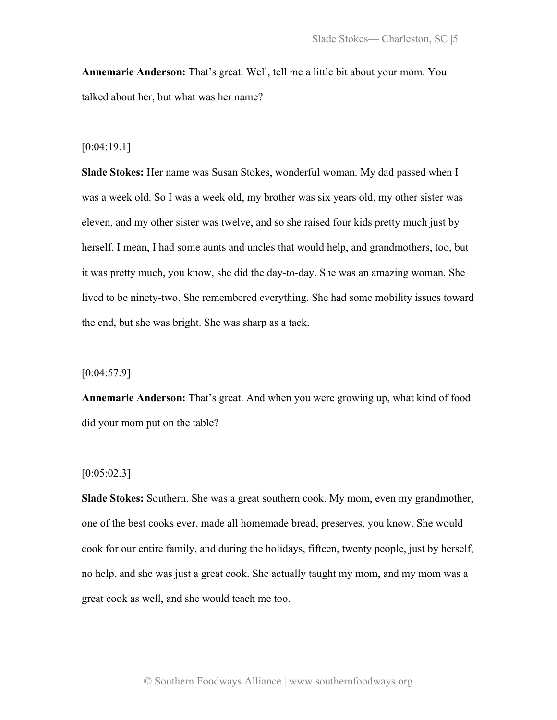**Annemarie Anderson:** That's great. Well, tell me a little bit about your mom. You talked about her, but what was her name?

#### [0:04:19.1]

**Slade Stokes:** Her name was Susan Stokes, wonderful woman. My dad passed when I was a week old. So I was a week old, my brother was six years old, my other sister was eleven, and my other sister was twelve, and so she raised four kids pretty much just by herself. I mean, I had some aunts and uncles that would help, and grandmothers, too, but it was pretty much, you know, she did the day-to-day. She was an amazing woman. She lived to be ninety-two. She remembered everything. She had some mobility issues toward the end, but she was bright. She was sharp as a tack.

 $[0:04:57.9]$ 

**Annemarie Anderson:** That's great. And when you were growing up, what kind of food did your mom put on the table?

#### $[0:05:02.3]$

**Slade Stokes:** Southern. She was a great southern cook. My mom, even my grandmother, one of the best cooks ever, made all homemade bread, preserves, you know. She would cook for our entire family, and during the holidays, fifteen, twenty people, just by herself, no help, and she was just a great cook. She actually taught my mom, and my mom was a great cook as well, and she would teach me too.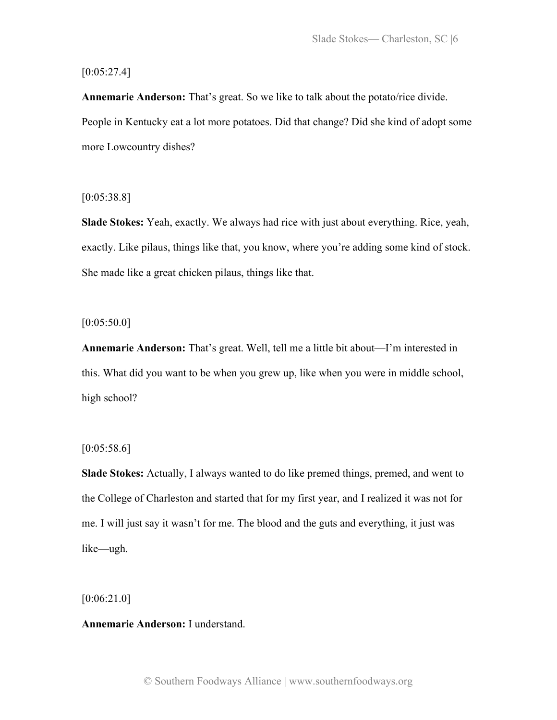# $[0:05:27.4]$

**Annemarie Anderson:** That's great. So we like to talk about the potato/rice divide. People in Kentucky eat a lot more potatoes. Did that change? Did she kind of adopt some more Lowcountry dishes?

 $[0:05:38.8]$ 

**Slade Stokes:** Yeah, exactly. We always had rice with just about everything. Rice, yeah, exactly. Like pilaus, things like that, you know, where you're adding some kind of stock. She made like a great chicken pilaus, things like that.

 $[0:05:50.0]$ 

**Annemarie Anderson:** That's great. Well, tell me a little bit about—I'm interested in this. What did you want to be when you grew up, like when you were in middle school, high school?

# $[0:05:58.6]$

**Slade Stokes:** Actually, I always wanted to do like premed things, premed, and went to the College of Charleston and started that for my first year, and I realized it was not for me. I will just say it wasn't for me. The blood and the guts and everything, it just was like—ugh.

[0:06:21.0]

#### **Annemarie Anderson:** I understand.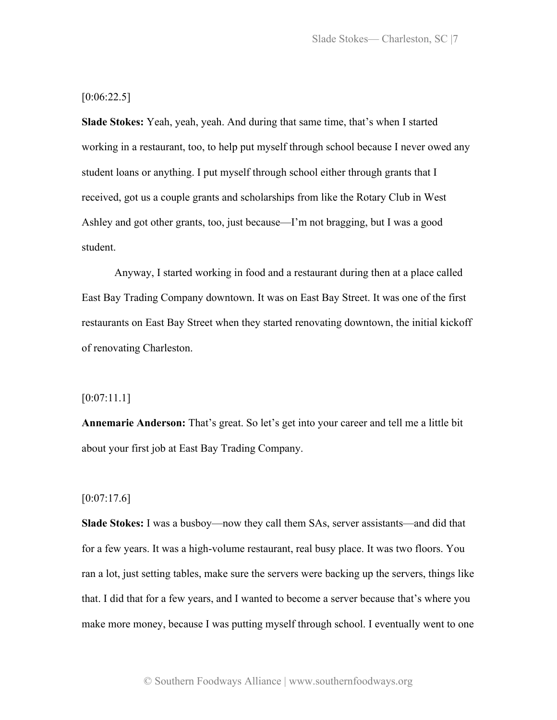Slade Stokes— Charleston, SC |7

 $[0:06:22.5]$ 

**Slade Stokes:** Yeah, yeah, yeah. And during that same time, that's when I started working in a restaurant, too, to help put myself through school because I never owed any student loans or anything. I put myself through school either through grants that I received, got us a couple grants and scholarships from like the Rotary Club in West Ashley and got other grants, too, just because—I'm not bragging, but I was a good student.

Anyway, I started working in food and a restaurant during then at a place called East Bay Trading Company downtown. It was on East Bay Street. It was one of the first restaurants on East Bay Street when they started renovating downtown, the initial kickoff of renovating Charleston.

# [0:07:11.1]

**Annemarie Anderson:** That's great. So let's get into your career and tell me a little bit about your first job at East Bay Trading Company.

# $[0:07:17.6]$

**Slade Stokes:** I was a busboy—now they call them SAs, server assistants—and did that for a few years. It was a high-volume restaurant, real busy place. It was two floors. You ran a lot, just setting tables, make sure the servers were backing up the servers, things like that. I did that for a few years, and I wanted to become a server because that's where you make more money, because I was putting myself through school. I eventually went to one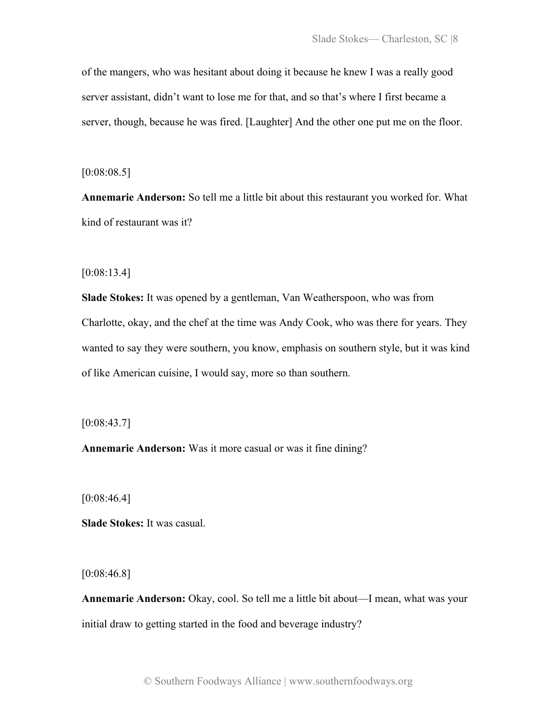of the mangers, who was hesitant about doing it because he knew I was a really good server assistant, didn't want to lose me for that, and so that's where I first became a server, though, because he was fired. [Laughter] And the other one put me on the floor.

 $[0:08:08.5]$ 

**Annemarie Anderson:** So tell me a little bit about this restaurant you worked for. What kind of restaurant was it?

[0:08:13.4]

**Slade Stokes:** It was opened by a gentleman, Van Weatherspoon, who was from Charlotte, okay, and the chef at the time was Andy Cook, who was there for years. They wanted to say they were southern, you know, emphasis on southern style, but it was kind of like American cuisine, I would say, more so than southern.

[0:08:43.7]

**Annemarie Anderson:** Was it more casual or was it fine dining?

[0:08:46.4]

**Slade Stokes:** It was casual.

 $[0:08:46.8]$ 

**Annemarie Anderson:** Okay, cool. So tell me a little bit about—I mean, what was your initial draw to getting started in the food and beverage industry?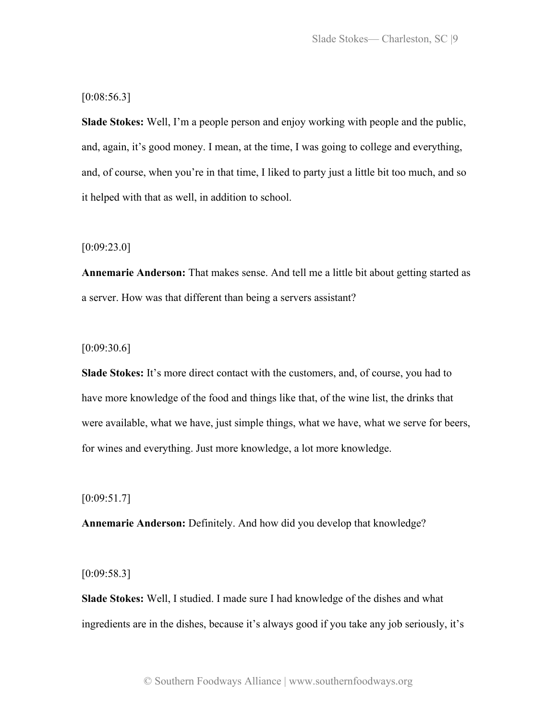# [0:08:56.3]

**Slade Stokes:** Well, I'm a people person and enjoy working with people and the public, and, again, it's good money. I mean, at the time, I was going to college and everything, and, of course, when you're in that time, I liked to party just a little bit too much, and so it helped with that as well, in addition to school.

#### $[0:09:23.0]$

**Annemarie Anderson:** That makes sense. And tell me a little bit about getting started as a server. How was that different than being a servers assistant?

# [0:09:30.6]

**Slade Stokes:** It's more direct contact with the customers, and, of course, you had to have more knowledge of the food and things like that, of the wine list, the drinks that were available, what we have, just simple things, what we have, what we serve for beers, for wines and everything. Just more knowledge, a lot more knowledge.

#### [0:09:51.7]

**Annemarie Anderson:** Definitely. And how did you develop that knowledge?

#### $[0:09:58.3]$

**Slade Stokes:** Well, I studied. I made sure I had knowledge of the dishes and what ingredients are in the dishes, because it's always good if you take any job seriously, it's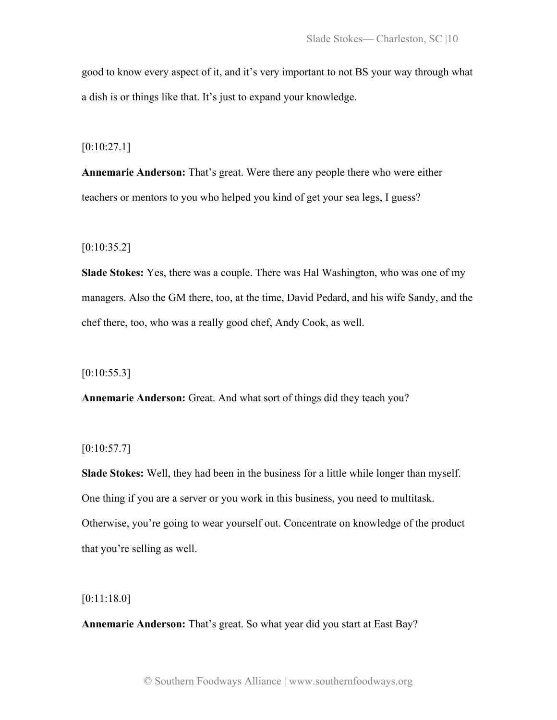good to know every aspect of it, and it's very important to not BS your way through what a dish is or things like that. It's just to expand your knowledge.

 $[0:10:27.1]$ 

**Annemarie Anderson:** That's great. Were there any people there who were either teachers or mentors to you who helped you kind of get your sea legs, I guess?

 $[0:10:35.2]$ 

**Slade Stokes:** Yes, there was a couple. There was Hal Washington, who was one of my managers. Also the GM there, too, at the time, David Pedard, and his wife Sandy, and the chef there, too, who was a really good chef, Andy Cook, as well.

 $[0:10:55.3]$ 

**Annemarie Anderson:** Great. And what sort of things did they teach you?

 $[0:10:57.7]$ 

**Slade Stokes:** Well, they had been in the business for a little while longer than myself. One thing if you are a server or you work in this business, you need to multitask. Otherwise, you're going to wear yourself out. Concentrate on knowledge of the product that you're selling as well.

[0:11:18.0]

**Annemarie Anderson:** That's great. So what year did you start at East Bay?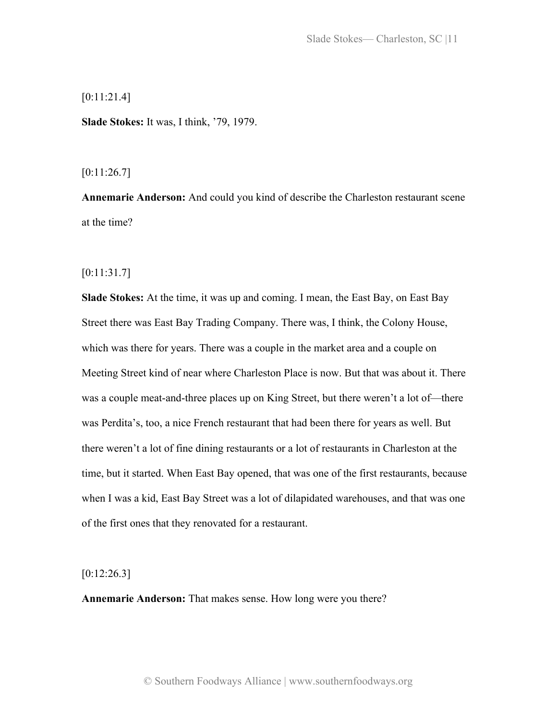[0:11:21.4]

**Slade Stokes:** It was, I think, '79, 1979.

[0:11:26.7]

**Annemarie Anderson:** And could you kind of describe the Charleston restaurant scene at the time?

[0:11:31.7]

**Slade Stokes:** At the time, it was up and coming. I mean, the East Bay, on East Bay Street there was East Bay Trading Company. There was, I think, the Colony House, which was there for years. There was a couple in the market area and a couple on Meeting Street kind of near where Charleston Place is now. But that was about it. There was a couple meat-and-three places up on King Street, but there weren't a lot of—there was Perdita's, too, a nice French restaurant that had been there for years as well. But there weren't a lot of fine dining restaurants or a lot of restaurants in Charleston at the time, but it started. When East Bay opened, that was one of the first restaurants, because when I was a kid, East Bay Street was a lot of dilapidated warehouses, and that was one of the first ones that they renovated for a restaurant.

 $[0:12:26.3]$ 

**Annemarie Anderson:** That makes sense. How long were you there?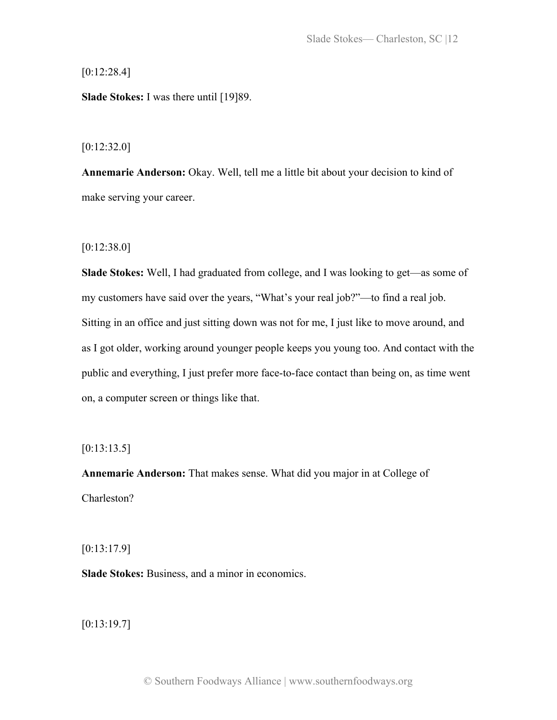$[0:12:28.4]$ 

**Slade Stokes:** I was there until [19]89.

 $[0:12:32.0]$ 

**Annemarie Anderson:** Okay. Well, tell me a little bit about your decision to kind of make serving your career.

[0:12:38.0]

**Slade Stokes:** Well, I had graduated from college, and I was looking to get—as some of my customers have said over the years, "What's your real job?"—to find a real job. Sitting in an office and just sitting down was not for me, I just like to move around, and as I got older, working around younger people keeps you young too. And contact with the public and everything, I just prefer more face-to-face contact than being on, as time went on, a computer screen or things like that.

 $[0:13:13.5]$ 

**Annemarie Anderson:** That makes sense. What did you major in at College of Charleston?

[0:13:17.9]

**Slade Stokes:** Business, and a minor in economics.

 $[0:13:19.7]$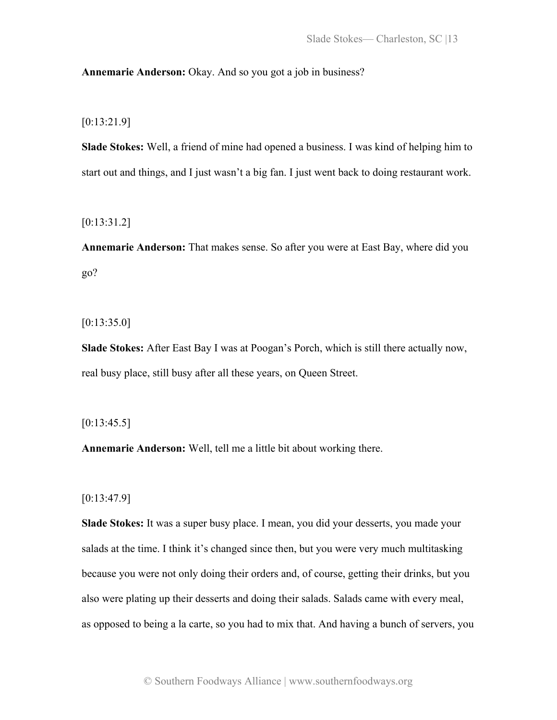# **Annemarie Anderson:** Okay. And so you got a job in business?

# [0:13:21.9]

**Slade Stokes:** Well, a friend of mine had opened a business. I was kind of helping him to start out and things, and I just wasn't a big fan. I just went back to doing restaurant work.

[0:13:31.2]

**Annemarie Anderson:** That makes sense. So after you were at East Bay, where did you go?

 $[0:13:35.0]$ 

**Slade Stokes:** After East Bay I was at Poogan's Porch, which is still there actually now, real busy place, still busy after all these years, on Queen Street.

## $[0:13:45.5]$

**Annemarie Anderson:** Well, tell me a little bit about working there.

# [0:13:47.9]

**Slade Stokes:** It was a super busy place. I mean, you did your desserts, you made your salads at the time. I think it's changed since then, but you were very much multitasking because you were not only doing their orders and, of course, getting their drinks, but you also were plating up their desserts and doing their salads. Salads came with every meal, as opposed to being a la carte, so you had to mix that. And having a bunch of servers, you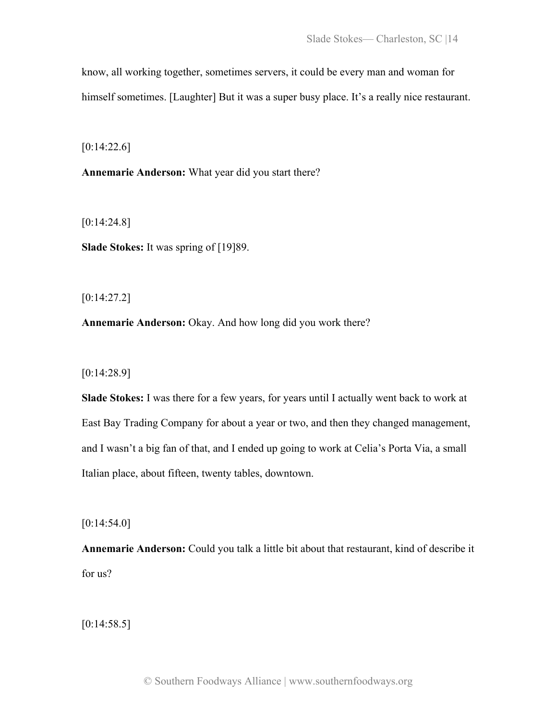know, all working together, sometimes servers, it could be every man and woman for himself sometimes. [Laughter] But it was a super busy place. It's a really nice restaurant.

 $[0:14:22.6]$ 

**Annemarie Anderson:** What year did you start there?

[0:14:24.8]

**Slade Stokes:** It was spring of [19]89.

[0:14:27.2]

**Annemarie Anderson:** Okay. And how long did you work there?

[0:14:28.9]

**Slade Stokes:** I was there for a few years, for years until I actually went back to work at East Bay Trading Company for about a year or two, and then they changed management, and I wasn't a big fan of that, and I ended up going to work at Celia's Porta Via, a small Italian place, about fifteen, twenty tables, downtown.

[0:14:54.0]

**Annemarie Anderson:** Could you talk a little bit about that restaurant, kind of describe it for us?

 $[0:14:58.5]$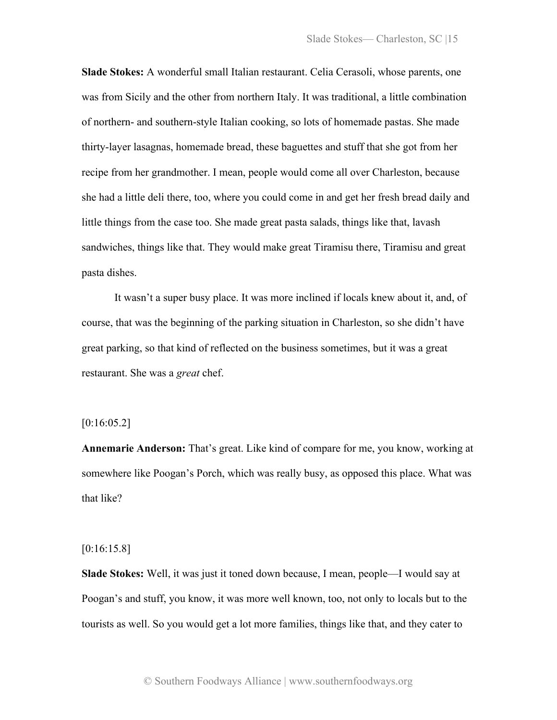**Slade Stokes:** A wonderful small Italian restaurant. Celia Cerasoli, whose parents, one was from Sicily and the other from northern Italy. It was traditional, a little combination of northern- and southern-style Italian cooking, so lots of homemade pastas. She made thirty-layer lasagnas, homemade bread, these baguettes and stuff that she got from her recipe from her grandmother. I mean, people would come all over Charleston, because she had a little deli there, too, where you could come in and get her fresh bread daily and little things from the case too. She made great pasta salads, things like that, lavash sandwiches, things like that. They would make great Tiramisu there, Tiramisu and great pasta dishes.

It wasn't a super busy place. It was more inclined if locals knew about it, and, of course, that was the beginning of the parking situation in Charleston, so she didn't have great parking, so that kind of reflected on the business sometimes, but it was a great restaurant. She was a *great* chef.

## $[0:16:05.2]$

**Annemarie Anderson:** That's great. Like kind of compare for me, you know, working at somewhere like Poogan's Porch, which was really busy, as opposed this place. What was that like?

#### [0:16:15.8]

**Slade Stokes:** Well, it was just it toned down because, I mean, people—I would say at Poogan's and stuff, you know, it was more well known, too, not only to locals but to the tourists as well. So you would get a lot more families, things like that, and they cater to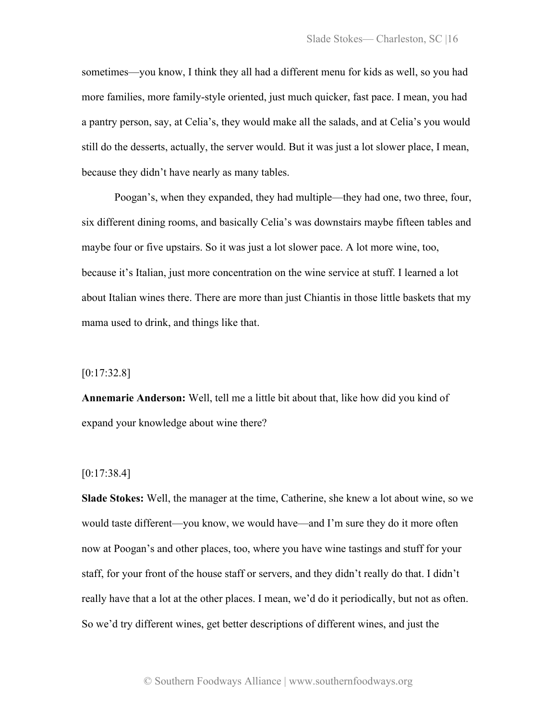sometimes—you know, I think they all had a different menu for kids as well, so you had more families, more family-style oriented, just much quicker, fast pace. I mean, you had a pantry person, say, at Celia's, they would make all the salads, and at Celia's you would still do the desserts, actually, the server would. But it was just a lot slower place, I mean, because they didn't have nearly as many tables.

Poogan's, when they expanded, they had multiple—they had one, two three, four, six different dining rooms, and basically Celia's was downstairs maybe fifteen tables and maybe four or five upstairs. So it was just a lot slower pace. A lot more wine, too, because it's Italian, just more concentration on the wine service at stuff. I learned a lot about Italian wines there. There are more than just Chiantis in those little baskets that my mama used to drink, and things like that.

# [0:17:32.8]

**Annemarie Anderson:** Well, tell me a little bit about that, like how did you kind of expand your knowledge about wine there?

#### [0:17:38.4]

**Slade Stokes:** Well, the manager at the time, Catherine, she knew a lot about wine, so we would taste different—you know, we would have—and I'm sure they do it more often now at Poogan's and other places, too, where you have wine tastings and stuff for your staff, for your front of the house staff or servers, and they didn't really do that. I didn't really have that a lot at the other places. I mean, we'd do it periodically, but not as often. So we'd try different wines, get better descriptions of different wines, and just the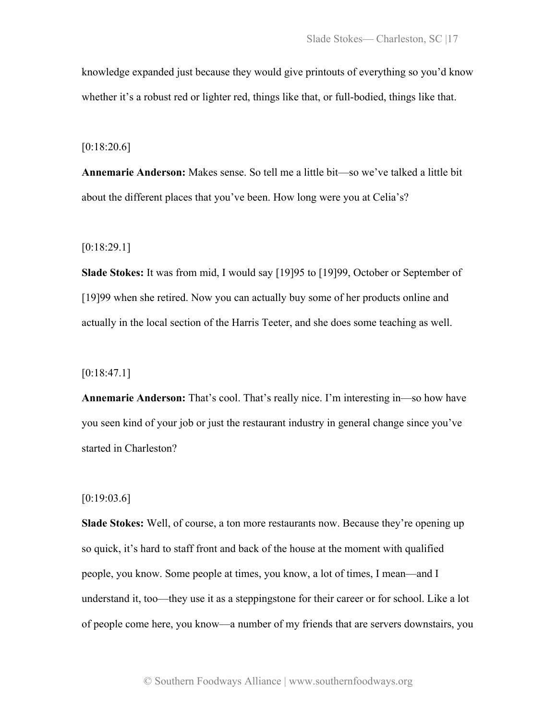knowledge expanded just because they would give printouts of everything so you'd know whether it's a robust red or lighter red, things like that, or full-bodied, things like that.

[0:18:20.6]

**Annemarie Anderson:** Makes sense. So tell me a little bit—so we've talked a little bit about the different places that you've been. How long were you at Celia's?

[0:18:29.1]

**Slade Stokes:** It was from mid, I would say [19]95 to [19]99, October or September of [19]99 when she retired. Now you can actually buy some of her products online and actually in the local section of the Harris Teeter, and she does some teaching as well.

 $[0:18:47.1]$ 

**Annemarie Anderson:** That's cool. That's really nice. I'm interesting in—so how have you seen kind of your job or just the restaurant industry in general change since you've started in Charleston?

 $[0:19:03.6]$ 

**Slade Stokes:** Well, of course, a ton more restaurants now. Because they're opening up so quick, it's hard to staff front and back of the house at the moment with qualified people, you know. Some people at times, you know, a lot of times, I mean—and I understand it, too—they use it as a steppingstone for their career or for school. Like a lot of people come here, you know—a number of my friends that are servers downstairs, you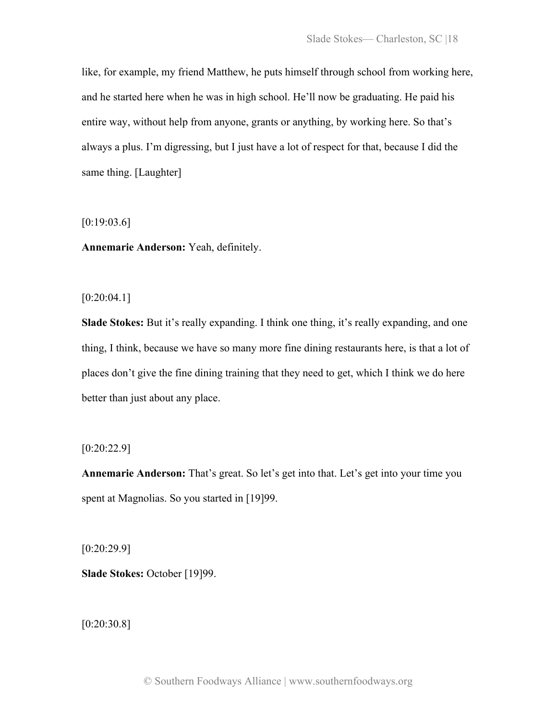like, for example, my friend Matthew, he puts himself through school from working here, and he started here when he was in high school. He'll now be graduating. He paid his entire way, without help from anyone, grants or anything, by working here. So that's always a plus. I'm digressing, but I just have a lot of respect for that, because I did the same thing. [Laughter]

 $[0:19:03.6]$ 

**Annemarie Anderson:** Yeah, definitely.

 $[0:20:04.1]$ 

**Slade Stokes:** But it's really expanding. I think one thing, it's really expanding, and one thing, I think, because we have so many more fine dining restaurants here, is that a lot of places don't give the fine dining training that they need to get, which I think we do here better than just about any place.

 $[0:20:22.9]$ 

**Annemarie Anderson:** That's great. So let's get into that. Let's get into your time you spent at Magnolias. So you started in [19]99.

[0:20:29.9]

**Slade Stokes:** October [19]99.

[0:20:30.8]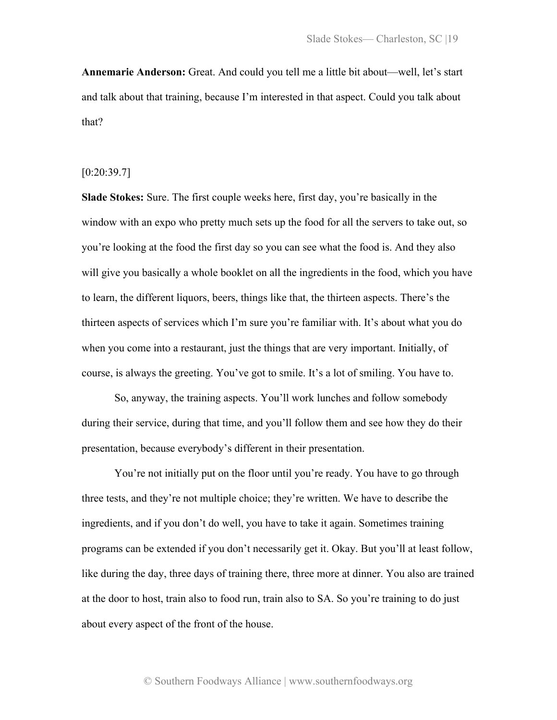**Annemarie Anderson:** Great. And could you tell me a little bit about—well, let's start and talk about that training, because I'm interested in that aspect. Could you talk about that?

#### [0:20:39.7]

**Slade Stokes:** Sure. The first couple weeks here, first day, you're basically in the window with an expo who pretty much sets up the food for all the servers to take out, so you're looking at the food the first day so you can see what the food is. And they also will give you basically a whole booklet on all the ingredients in the food, which you have to learn, the different liquors, beers, things like that, the thirteen aspects. There's the thirteen aspects of services which I'm sure you're familiar with. It's about what you do when you come into a restaurant, just the things that are very important. Initially, of course, is always the greeting. You've got to smile. It's a lot of smiling. You have to.

So, anyway, the training aspects. You'll work lunches and follow somebody during their service, during that time, and you'll follow them and see how they do their presentation, because everybody's different in their presentation.

You're not initially put on the floor until you're ready. You have to go through three tests, and they're not multiple choice; they're written. We have to describe the ingredients, and if you don't do well, you have to take it again. Sometimes training programs can be extended if you don't necessarily get it. Okay. But you'll at least follow, like during the day, three days of training there, three more at dinner. You also are trained at the door to host, train also to food run, train also to SA. So you're training to do just about every aspect of the front of the house.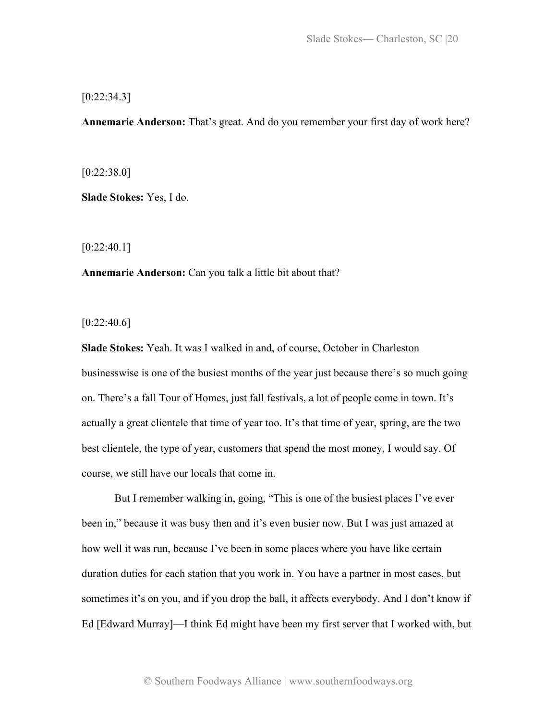# $[0:22:34.3]$

**Annemarie Anderson:** That's great. And do you remember your first day of work here?

 $[0:22:38.0]$ 

**Slade Stokes:** Yes, I do.

 $[0:22:40.1]$ 

**Annemarie Anderson:** Can you talk a little bit about that?

 $[0:22:40.6]$ 

**Slade Stokes:** Yeah. It was I walked in and, of course, October in Charleston businesswise is one of the busiest months of the year just because there's so much going on. There's a fall Tour of Homes, just fall festivals, a lot of people come in town. It's actually a great clientele that time of year too. It's that time of year, spring, are the two best clientele, the type of year, customers that spend the most money, I would say. Of course, we still have our locals that come in.

But I remember walking in, going, "This is one of the busiest places I've ever been in," because it was busy then and it's even busier now. But I was just amazed at how well it was run, because I've been in some places where you have like certain duration duties for each station that you work in. You have a partner in most cases, but sometimes it's on you, and if you drop the ball, it affects everybody. And I don't know if Ed [Edward Murray]—I think Ed might have been my first server that I worked with, but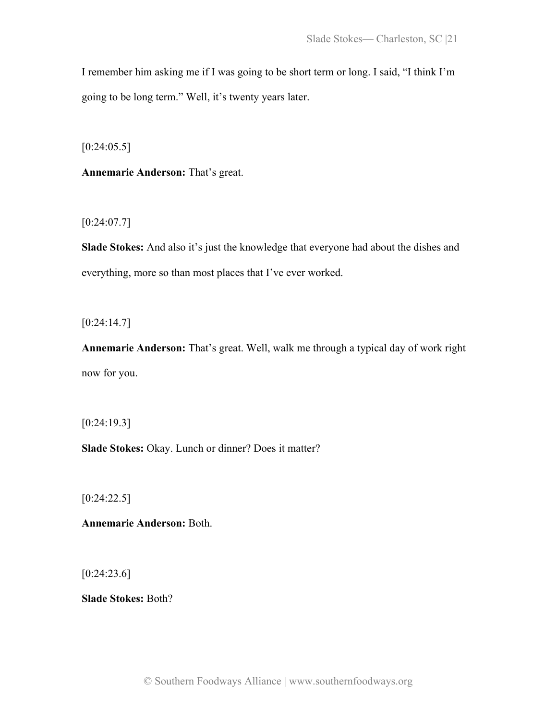I remember him asking me if I was going to be short term or long. I said, "I think I'm going to be long term." Well, it's twenty years later.

 $[0:24:05.5]$ 

**Annemarie Anderson:** That's great.

[0:24:07.7]

**Slade Stokes:** And also it's just the knowledge that everyone had about the dishes and everything, more so than most places that I've ever worked.

[0:24:14.7]

**Annemarie Anderson:** That's great. Well, walk me through a typical day of work right now for you.

[0:24:19.3]

**Slade Stokes:** Okay. Lunch or dinner? Does it matter?

[0:24:22.5]

**Annemarie Anderson:** Both.

 $[0:24:23.6]$ 

**Slade Stokes:** Both?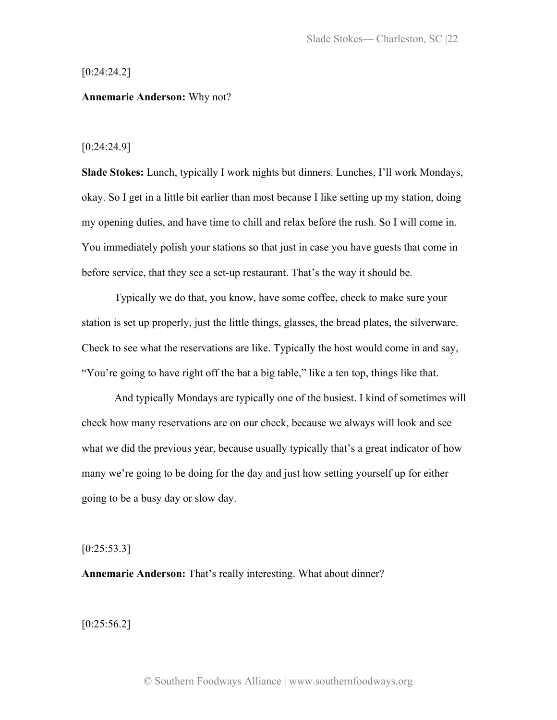#### [0:24:24.2]

#### **Annemarie Anderson:** Why not?

#### [0:24:24.9]

**Slade Stokes:** Lunch, typically I work nights but dinners. Lunches, I'll work Mondays, okay. So I get in a little bit earlier than most because I like setting up my station, doing my opening duties, and have time to chill and relax before the rush. So I will come in. You immediately polish your stations so that just in case you have guests that come in before service, that they see a set-up restaurant. That's the way it should be.

Typically we do that, you know, have some coffee, check to make sure your station is set up properly, just the little things, glasses, the bread plates, the silverware. Check to see what the reservations are like. Typically the host would come in and say, "You're going to have right off the bat a big table," like a ten top, things like that.

And typically Mondays are typically one of the busiest. I kind of sometimes will check how many reservations are on our check, because we always will look and see what we did the previous year, because usually typically that's a great indicator of how many we're going to be doing for the day and just how setting yourself up for either going to be a busy day or slow day.

#### $[0:25:53.3]$

**Annemarie Anderson:** That's really interesting. What about dinner?

 $[0:25:56.2]$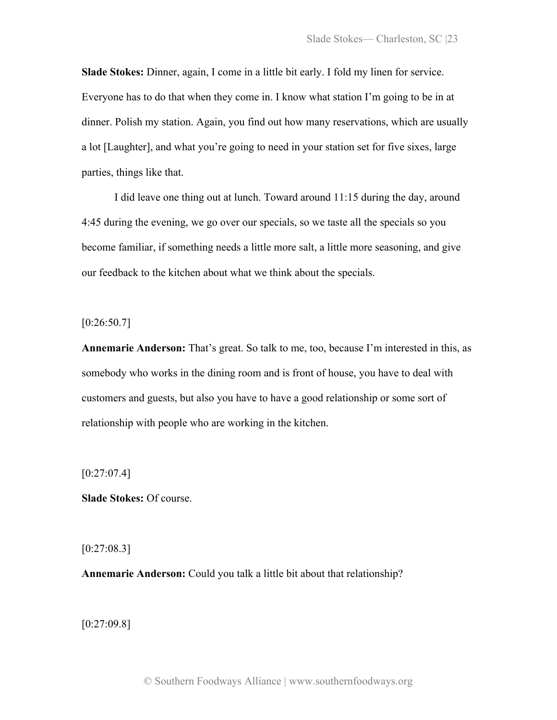**Slade Stokes:** Dinner, again, I come in a little bit early. I fold my linen for service. Everyone has to do that when they come in. I know what station I'm going to be in at dinner. Polish my station. Again, you find out how many reservations, which are usually a lot [Laughter], and what you're going to need in your station set for five sixes, large parties, things like that.

I did leave one thing out at lunch. Toward around 11:15 during the day, around 4:45 during the evening, we go over our specials, so we taste all the specials so you become familiar, if something needs a little more salt, a little more seasoning, and give our feedback to the kitchen about what we think about the specials.

 $[0:26:50.7]$ 

**Annemarie Anderson:** That's great. So talk to me, too, because I'm interested in this, as somebody who works in the dining room and is front of house, you have to deal with customers and guests, but also you have to have a good relationship or some sort of relationship with people who are working in the kitchen.

 $[0:27:07.4]$ 

**Slade Stokes:** Of course.

 $[0:27:08.3]$ 

**Annemarie Anderson:** Could you talk a little bit about that relationship?

[0:27:09.8]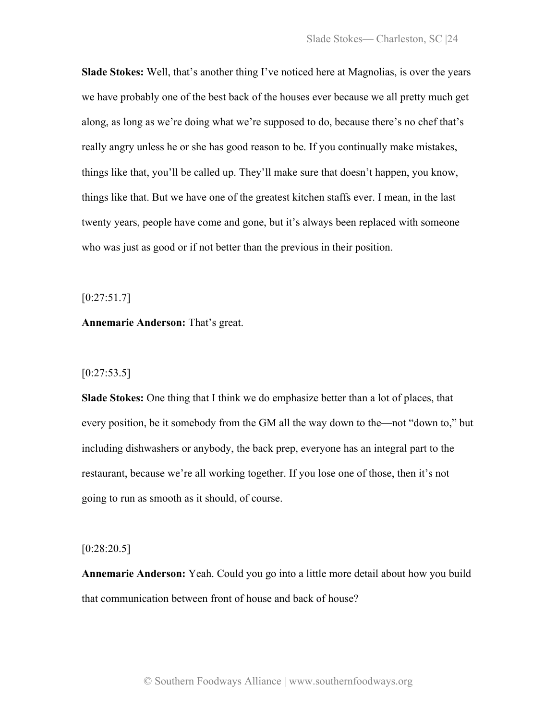**Slade Stokes:** Well, that's another thing I've noticed here at Magnolias, is over the years we have probably one of the best back of the houses ever because we all pretty much get along, as long as we're doing what we're supposed to do, because there's no chef that's really angry unless he or she has good reason to be. If you continually make mistakes, things like that, you'll be called up. They'll make sure that doesn't happen, you know, things like that. But we have one of the greatest kitchen staffs ever. I mean, in the last twenty years, people have come and gone, but it's always been replaced with someone who was just as good or if not better than the previous in their position.

 $[0:27:51.7]$ 

**Annemarie Anderson:** That's great.

# $[0:27:53.5]$

**Slade Stokes:** One thing that I think we do emphasize better than a lot of places, that every position, be it somebody from the GM all the way down to the—not "down to," but including dishwashers or anybody, the back prep, everyone has an integral part to the restaurant, because we're all working together. If you lose one of those, then it's not going to run as smooth as it should, of course.

#### $[0:28:20.5]$

**Annemarie Anderson:** Yeah. Could you go into a little more detail about how you build that communication between front of house and back of house?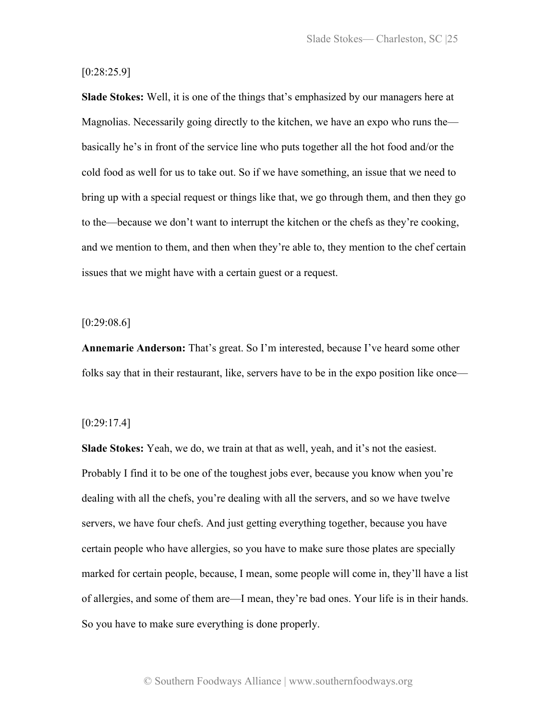# [0:28:25.9]

**Slade Stokes:** Well, it is one of the things that's emphasized by our managers here at Magnolias. Necessarily going directly to the kitchen, we have an expo who runs the basically he's in front of the service line who puts together all the hot food and/or the cold food as well for us to take out. So if we have something, an issue that we need to bring up with a special request or things like that, we go through them, and then they go to the—because we don't want to interrupt the kitchen or the chefs as they're cooking, and we mention to them, and then when they're able to, they mention to the chef certain issues that we might have with a certain guest or a request.

#### [0:29:08.6]

**Annemarie Anderson:** That's great. So I'm interested, because I've heard some other folks say that in their restaurant, like, servers have to be in the expo position like once—

## [0:29:17.4]

**Slade Stokes:** Yeah, we do, we train at that as well, yeah, and it's not the easiest. Probably I find it to be one of the toughest jobs ever, because you know when you're dealing with all the chefs, you're dealing with all the servers, and so we have twelve servers, we have four chefs. And just getting everything together, because you have certain people who have allergies, so you have to make sure those plates are specially marked for certain people, because, I mean, some people will come in, they'll have a list of allergies, and some of them are—I mean, they're bad ones. Your life is in their hands. So you have to make sure everything is done properly.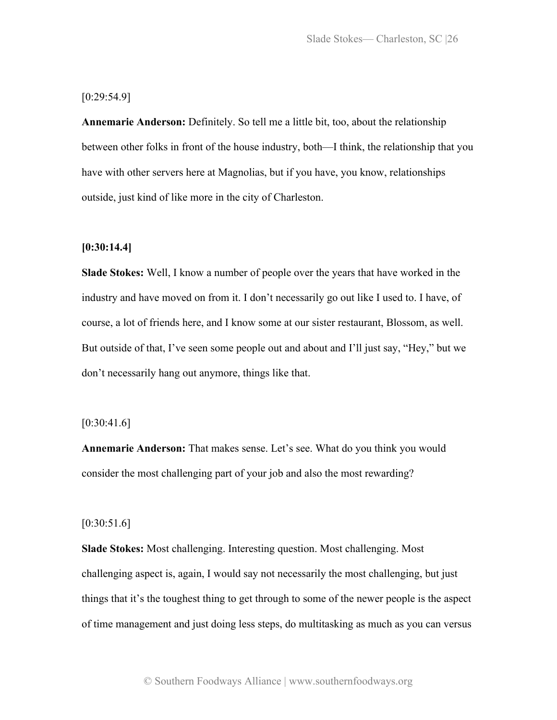[0:29:54.9]

**Annemarie Anderson:** Definitely. So tell me a little bit, too, about the relationship between other folks in front of the house industry, both—I think, the relationship that you have with other servers here at Magnolias, but if you have, you know, relationships outside, just kind of like more in the city of Charleston.

# **[0:30:14.4]**

**Slade Stokes:** Well, I know a number of people over the years that have worked in the industry and have moved on from it. I don't necessarily go out like I used to. I have, of course, a lot of friends here, and I know some at our sister restaurant, Blossom, as well. But outside of that, I've seen some people out and about and I'll just say, "Hey," but we don't necessarily hang out anymore, things like that.

## $[0:30:41.6]$

**Annemarie Anderson:** That makes sense. Let's see. What do you think you would consider the most challenging part of your job and also the most rewarding?

#### $[0:30:51.6]$

**Slade Stokes:** Most challenging. Interesting question. Most challenging. Most challenging aspect is, again, I would say not necessarily the most challenging, but just things that it's the toughest thing to get through to some of the newer people is the aspect of time management and just doing less steps, do multitasking as much as you can versus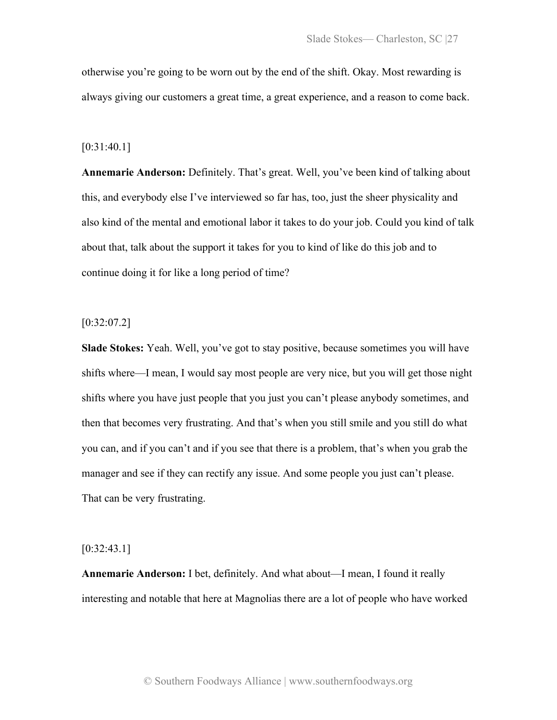otherwise you're going to be worn out by the end of the shift. Okay. Most rewarding is always giving our customers a great time, a great experience, and a reason to come back.

#### [0:31:40.1]

**Annemarie Anderson:** Definitely. That's great. Well, you've been kind of talking about this, and everybody else I've interviewed so far has, too, just the sheer physicality and also kind of the mental and emotional labor it takes to do your job. Could you kind of talk about that, talk about the support it takes for you to kind of like do this job and to continue doing it for like a long period of time?

#### $[0:32:07.2]$

**Slade Stokes:** Yeah. Well, you've got to stay positive, because sometimes you will have shifts where—I mean, I would say most people are very nice, but you will get those night shifts where you have just people that you just you can't please anybody sometimes, and then that becomes very frustrating. And that's when you still smile and you still do what you can, and if you can't and if you see that there is a problem, that's when you grab the manager and see if they can rectify any issue. And some people you just can't please. That can be very frustrating.

#### [0:32:43.1]

**Annemarie Anderson:** I bet, definitely. And what about—I mean, I found it really interesting and notable that here at Magnolias there are a lot of people who have worked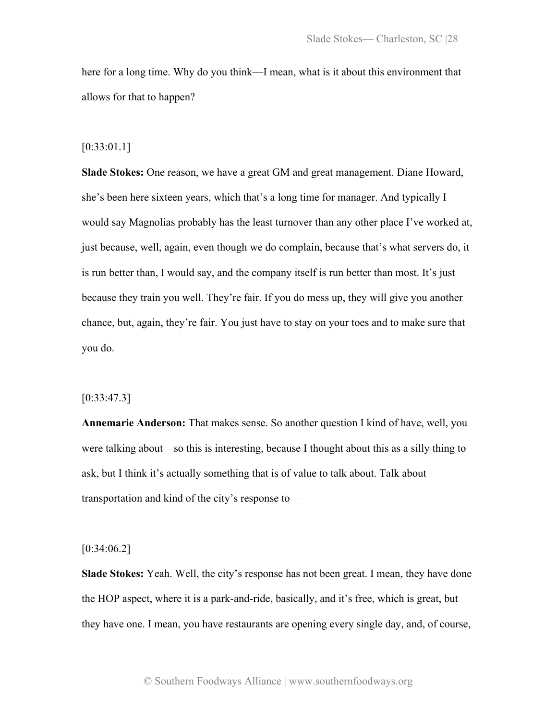here for a long time. Why do you think—I mean, what is it about this environment that allows for that to happen?

#### [0:33:01.1]

**Slade Stokes:** One reason, we have a great GM and great management. Diane Howard, she's been here sixteen years, which that's a long time for manager. And typically I would say Magnolias probably has the least turnover than any other place I've worked at, just because, well, again, even though we do complain, because that's what servers do, it is run better than, I would say, and the company itself is run better than most. It's just because they train you well. They're fair. If you do mess up, they will give you another chance, but, again, they're fair. You just have to stay on your toes and to make sure that you do.

#### [0:33:47.3]

**Annemarie Anderson:** That makes sense. So another question I kind of have, well, you were talking about—so this is interesting, because I thought about this as a silly thing to ask, but I think it's actually something that is of value to talk about. Talk about transportation and kind of the city's response to—

#### $[0:34:06.2]$

**Slade Stokes:** Yeah. Well, the city's response has not been great. I mean, they have done the HOP aspect, where it is a park-and-ride, basically, and it's free, which is great, but they have one. I mean, you have restaurants are opening every single day, and, of course,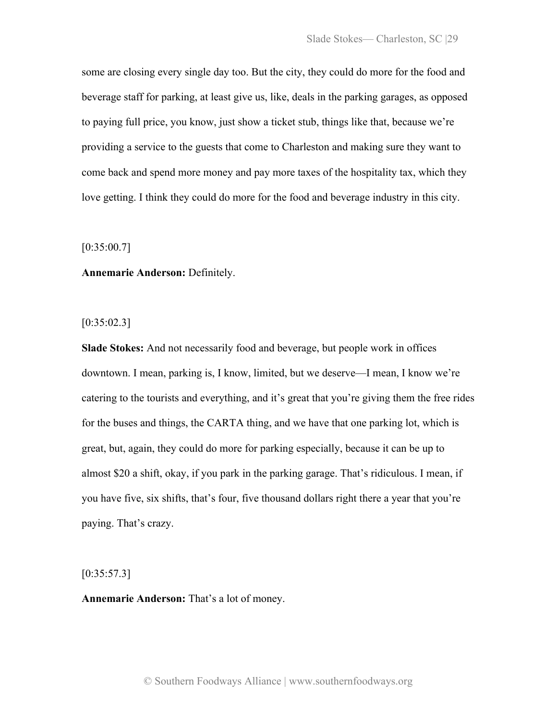some are closing every single day too. But the city, they could do more for the food and beverage staff for parking, at least give us, like, deals in the parking garages, as opposed to paying full price, you know, just show a ticket stub, things like that, because we're providing a service to the guests that come to Charleston and making sure they want to come back and spend more money and pay more taxes of the hospitality tax, which they love getting. I think they could do more for the food and beverage industry in this city.

[0:35:00.7]

**Annemarie Anderson:** Definitely.

 $[0:35:02.3]$ 

**Slade Stokes:** And not necessarily food and beverage, but people work in offices downtown. I mean, parking is, I know, limited, but we deserve—I mean, I know we're catering to the tourists and everything, and it's great that you're giving them the free rides for the buses and things, the CARTA thing, and we have that one parking lot, which is great, but, again, they could do more for parking especially, because it can be up to almost \$20 a shift, okay, if you park in the parking garage. That's ridiculous. I mean, if you have five, six shifts, that's four, five thousand dollars right there a year that you're paying. That's crazy.

 $[0:35:57.3]$ 

**Annemarie Anderson:** That's a lot of money.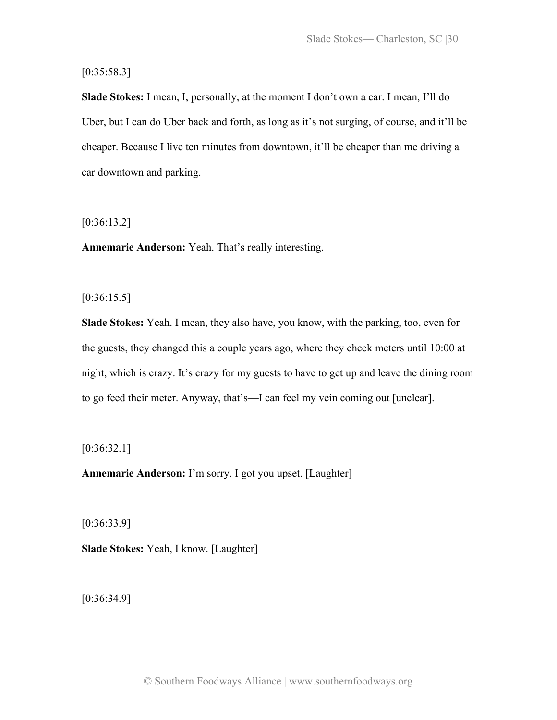$[0:35:58.3]$ 

**Slade Stokes:** I mean, I, personally, at the moment I don't own a car. I mean, I'll do Uber, but I can do Uber back and forth, as long as it's not surging, of course, and it'll be cheaper. Because I live ten minutes from downtown, it'll be cheaper than me driving a car downtown and parking.

[0:36:13.2]

**Annemarie Anderson:** Yeah. That's really interesting.

 $[0:36:15.5]$ 

**Slade Stokes:** Yeah. I mean, they also have, you know, with the parking, too, even for the guests, they changed this a couple years ago, where they check meters until 10:00 at night, which is crazy. It's crazy for my guests to have to get up and leave the dining room to go feed their meter. Anyway, that's—I can feel my vein coming out [unclear].

 $[0:36:32.1]$ 

**Annemarie Anderson:** I'm sorry. I got you upset. [Laughter]

[0:36:33.9]

**Slade Stokes:** Yeah, I know. [Laughter]

[0:36:34.9]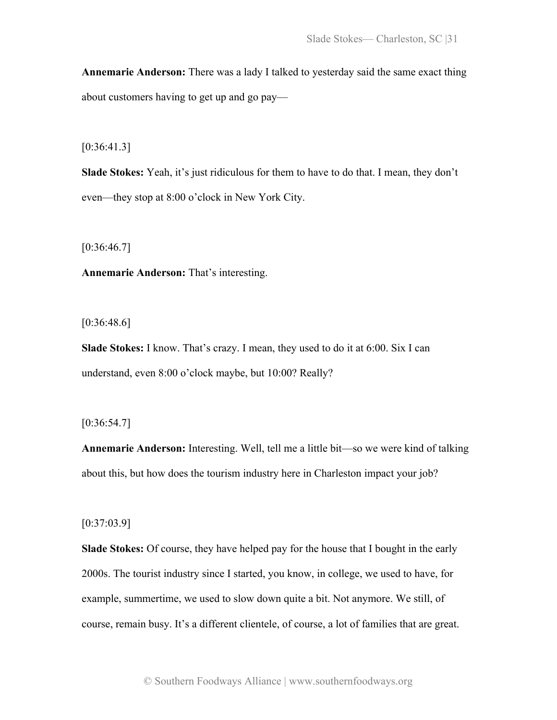**Annemarie Anderson:** There was a lady I talked to yesterday said the same exact thing about customers having to get up and go pay—

[0:36:41.3]

**Slade Stokes:** Yeah, it's just ridiculous for them to have to do that. I mean, they don't even—they stop at 8:00 o'clock in New York City.

 $[0:36:46.7]$ 

**Annemarie Anderson:** That's interesting.

 $[0:36:48.6]$ 

**Slade Stokes:** I know. That's crazy. I mean, they used to do it at 6:00. Six I can understand, even 8:00 o'clock maybe, but 10:00? Really?

[0:36:54.7]

**Annemarie Anderson:** Interesting. Well, tell me a little bit—so we were kind of talking about this, but how does the tourism industry here in Charleston impact your job?

[0:37:03.9]

**Slade Stokes:** Of course, they have helped pay for the house that I bought in the early 2000s. The tourist industry since I started, you know, in college, we used to have, for example, summertime, we used to slow down quite a bit. Not anymore. We still, of course, remain busy. It's a different clientele, of course, a lot of families that are great.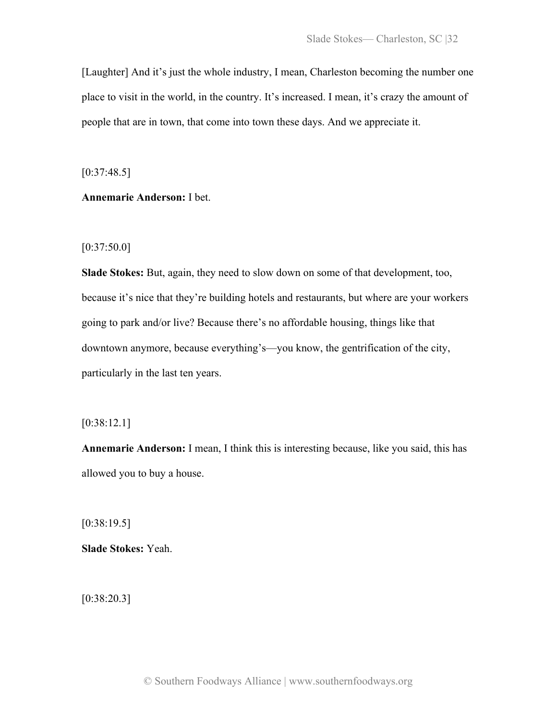[Laughter] And it's just the whole industry, I mean, Charleston becoming the number one place to visit in the world, in the country. It's increased. I mean, it's crazy the amount of people that are in town, that come into town these days. And we appreciate it.

 $[0:37:48.5]$ 

**Annemarie Anderson:** I bet.

 $[0:37:50.0]$ 

**Slade Stokes:** But, again, they need to slow down on some of that development, too, because it's nice that they're building hotels and restaurants, but where are your workers going to park and/or live? Because there's no affordable housing, things like that downtown anymore, because everything's—you know, the gentrification of the city, particularly in the last ten years.

[0:38:12.1]

**Annemarie Anderson:** I mean, I think this is interesting because, like you said, this has allowed you to buy a house.

[0:38:19.5]

**Slade Stokes:** Yeah.

[0:38:20.3]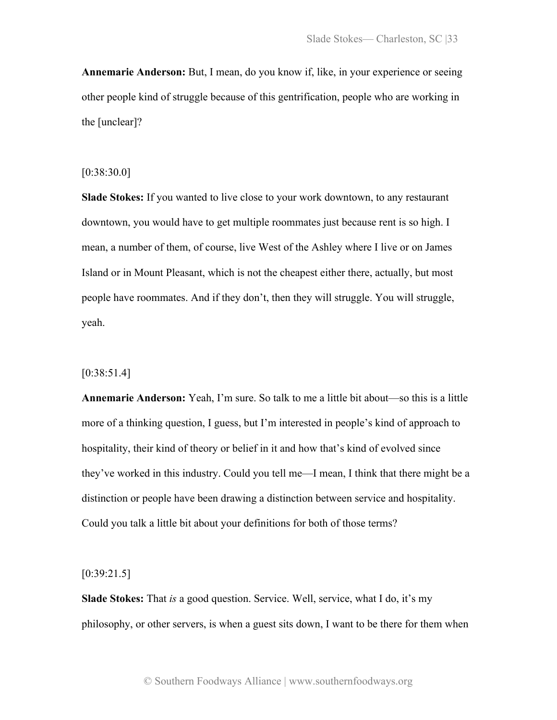**Annemarie Anderson:** But, I mean, do you know if, like, in your experience or seeing other people kind of struggle because of this gentrification, people who are working in the [unclear]?

# [0:38:30.0]

**Slade Stokes:** If you wanted to live close to your work downtown, to any restaurant downtown, you would have to get multiple roommates just because rent is so high. I mean, a number of them, of course, live West of the Ashley where I live or on James Island or in Mount Pleasant, which is not the cheapest either there, actually, but most people have roommates. And if they don't, then they will struggle. You will struggle, yeah.

# [0:38:51.4]

**Annemarie Anderson:** Yeah, I'm sure. So talk to me a little bit about—so this is a little more of a thinking question, I guess, but I'm interested in people's kind of approach to hospitality, their kind of theory or belief in it and how that's kind of evolved since they've worked in this industry. Could you tell me—I mean, I think that there might be a distinction or people have been drawing a distinction between service and hospitality. Could you talk a little bit about your definitions for both of those terms?

 $[0:39:21.5]$ 

**Slade Stokes:** That *is* a good question. Service. Well, service, what I do, it's my philosophy, or other servers, is when a guest sits down, I want to be there for them when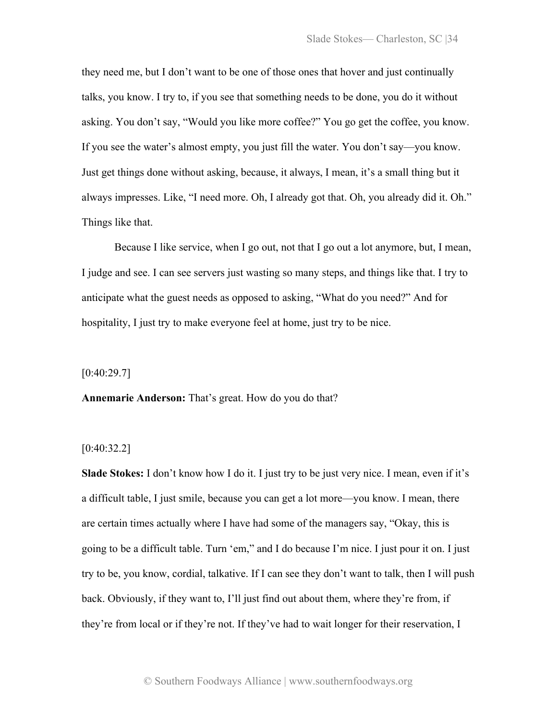they need me, but I don't want to be one of those ones that hover and just continually talks, you know. I try to, if you see that something needs to be done, you do it without asking. You don't say, "Would you like more coffee?" You go get the coffee, you know. If you see the water's almost empty, you just fill the water. You don't say—you know. Just get things done without asking, because, it always, I mean, it's a small thing but it always impresses. Like, "I need more. Oh, I already got that. Oh, you already did it. Oh." Things like that.

Because I like service, when I go out, not that I go out a lot anymore, but, I mean, I judge and see. I can see servers just wasting so many steps, and things like that. I try to anticipate what the guest needs as opposed to asking, "What do you need?" And for hospitality, I just try to make everyone feel at home, just try to be nice.

 $[0:40:29.7]$ 

**Annemarie Anderson:** That's great. How do you do that?

#### [0:40:32.2]

**Slade Stokes:** I don't know how I do it. I just try to be just very nice. I mean, even if it's a difficult table, I just smile, because you can get a lot more—you know. I mean, there are certain times actually where I have had some of the managers say, "Okay, this is going to be a difficult table. Turn 'em," and I do because I'm nice. I just pour it on. I just try to be, you know, cordial, talkative. If I can see they don't want to talk, then I will push back. Obviously, if they want to, I'll just find out about them, where they're from, if they're from local or if they're not. If they've had to wait longer for their reservation, I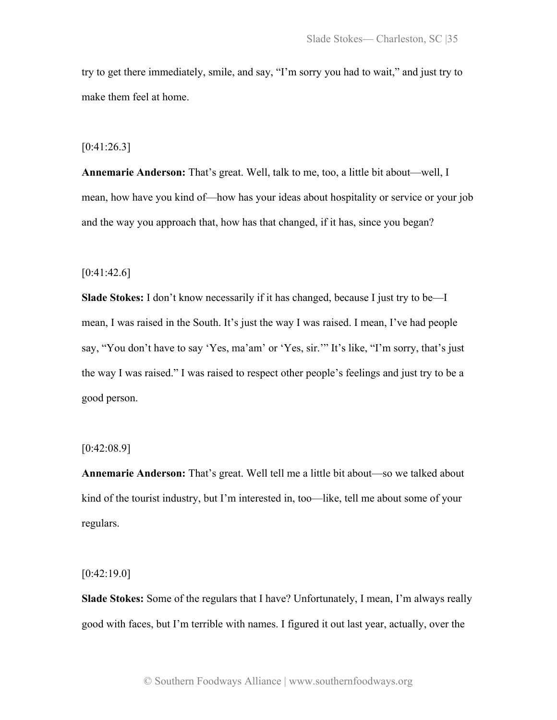try to get there immediately, smile, and say, "I'm sorry you had to wait," and just try to make them feel at home.

 $[0:41:26.3]$ 

**Annemarie Anderson:** That's great. Well, talk to me, too, a little bit about—well, I mean, how have you kind of—how has your ideas about hospitality or service or your job and the way you approach that, how has that changed, if it has, since you began?

 $[0:41:42.6]$ 

**Slade Stokes:** I don't know necessarily if it has changed, because I just try to be—I mean, I was raised in the South. It's just the way I was raised. I mean, I've had people say, "You don't have to say 'Yes, ma'am' or 'Yes, sir.'" It's like, "I'm sorry, that's just the way I was raised." I was raised to respect other people's feelings and just try to be a good person.

[0:42:08.9]

**Annemarie Anderson:** That's great. Well tell me a little bit about—so we talked about kind of the tourist industry, but I'm interested in, too—like, tell me about some of your regulars.

 $[0:42:19.0]$ 

**Slade Stokes:** Some of the regulars that I have? Unfortunately, I mean, I'm always really good with faces, but I'm terrible with names. I figured it out last year, actually, over the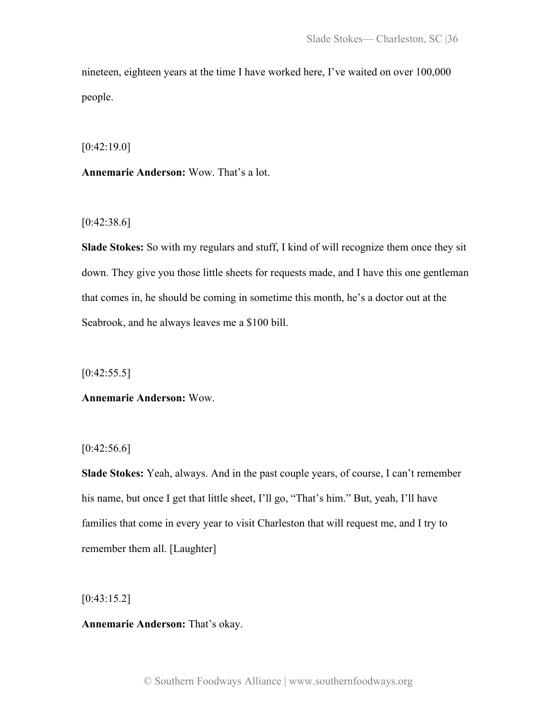nineteen, eighteen years at the time I have worked here, I've waited on over 100,000 people.

[0:42:19.0]

**Annemarie Anderson:** Wow. That's a lot.

[0:42:38.6]

**Slade Stokes:** So with my regulars and stuff, I kind of will recognize them once they sit down. They give you those little sheets for requests made, and I have this one gentleman that comes in, he should be coming in sometime this month, he's a doctor out at the Seabrook, and he always leaves me a \$100 bill.

 $[0:42:55.5]$ 

# **Annemarie Anderson:** Wow.

 $[0:42:56.6]$ 

**Slade Stokes:** Yeah, always. And in the past couple years, of course, I can't remember his name, but once I get that little sheet, I'll go, "That's him." But, yeah, I'll have families that come in every year to visit Charleston that will request me, and I try to remember them all. [Laughter]

[0:43:15.2]

**Annemarie Anderson:** That's okay.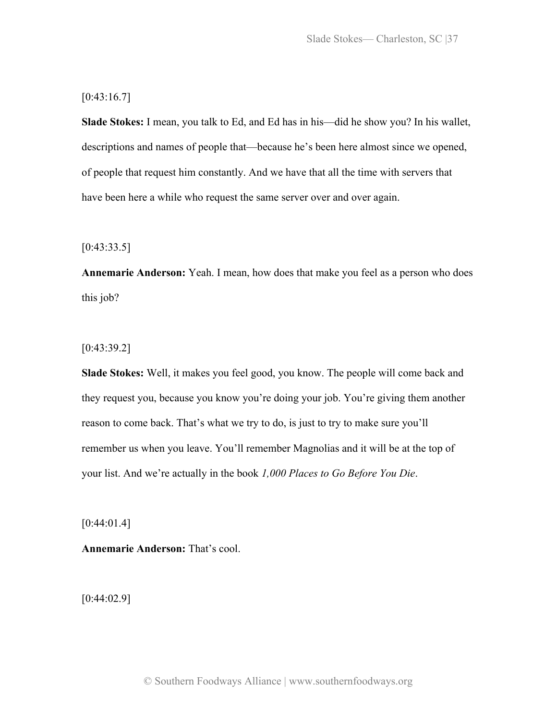# $[0:43:16.7]$

**Slade Stokes:** I mean, you talk to Ed, and Ed has in his—did he show you? In his wallet, descriptions and names of people that—because he's been here almost since we opened, of people that request him constantly. And we have that all the time with servers that have been here a while who request the same server over and over again.

 $[0:43:33.5]$ 

**Annemarie Anderson:** Yeah. I mean, how does that make you feel as a person who does this job?

[0:43:39.2]

**Slade Stokes:** Well, it makes you feel good, you know. The people will come back and they request you, because you know you're doing your job. You're giving them another reason to come back. That's what we try to do, is just to try to make sure you'll remember us when you leave. You'll remember Magnolias and it will be at the top of your list. And we're actually in the book *1,000 Places to Go Before You Die*.

 $[0:44:01.4]$ 

**Annemarie Anderson:** That's cool.

[0:44:02.9]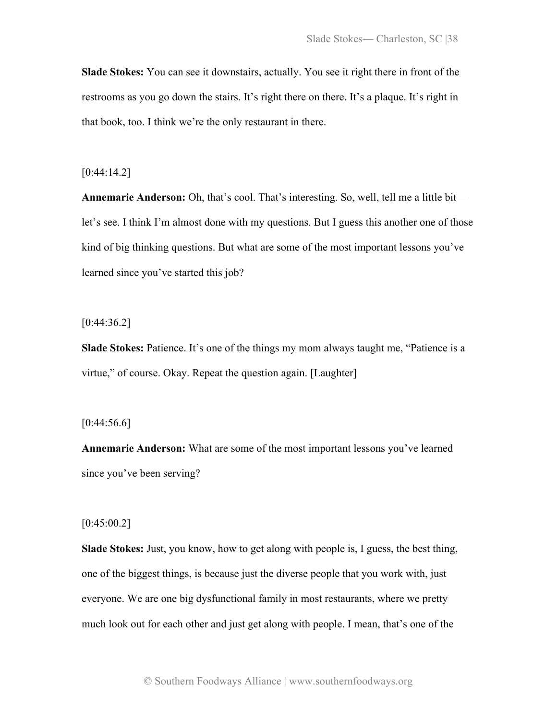**Slade Stokes:** You can see it downstairs, actually. You see it right there in front of the restrooms as you go down the stairs. It's right there on there. It's a plaque. It's right in that book, too. I think we're the only restaurant in there.

# [0:44:14.2]

**Annemarie Anderson:** Oh, that's cool. That's interesting. So, well, tell me a little bit let's see. I think I'm almost done with my questions. But I guess this another one of those kind of big thinking questions. But what are some of the most important lessons you've learned since you've started this job?

 $[0:44:36.2]$ 

**Slade Stokes:** Patience. It's one of the things my mom always taught me, "Patience is a virtue," of course. Okay. Repeat the question again. [Laughter]

## $[0:44:56.6]$

**Annemarie Anderson:** What are some of the most important lessons you've learned since you've been serving?

## $[0:45:00.2]$

**Slade Stokes:** Just, you know, how to get along with people is, I guess, the best thing, one of the biggest things, is because just the diverse people that you work with, just everyone. We are one big dysfunctional family in most restaurants, where we pretty much look out for each other and just get along with people. I mean, that's one of the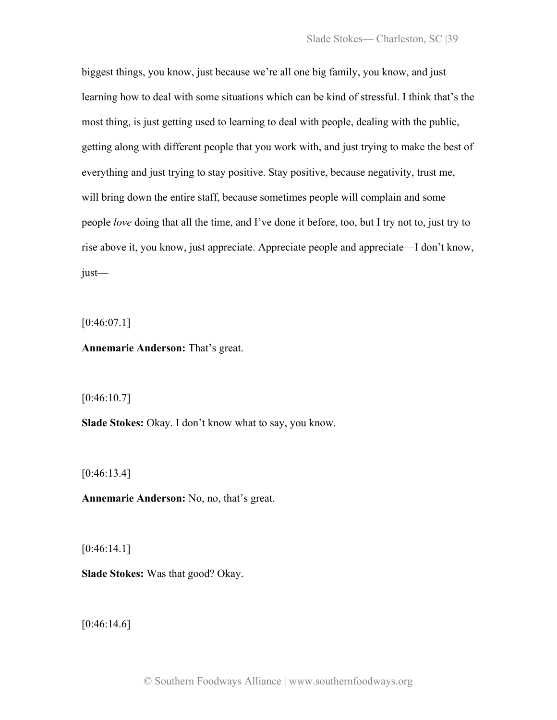biggest things, you know, just because we're all one big family, you know, and just learning how to deal with some situations which can be kind of stressful. I think that's the most thing, is just getting used to learning to deal with people, dealing with the public, getting along with different people that you work with, and just trying to make the best of everything and just trying to stay positive. Stay positive, because negativity, trust me, will bring down the entire staff, because sometimes people will complain and some people *love* doing that all the time, and I've done it before, too, but I try not to, just try to rise above it, you know, just appreciate. Appreciate people and appreciate—I don't know, just—

 $[0:46:07.1]$ 

**Annemarie Anderson:** That's great.

 $[0:46:10.7]$ 

**Slade Stokes:** Okay. I don't know what to say, you know.

[0:46:13.4]

**Annemarie Anderson:** No, no, that's great.

[0:46:14.1]

**Slade Stokes:** Was that good? Okay.

 $[0:46:14.6]$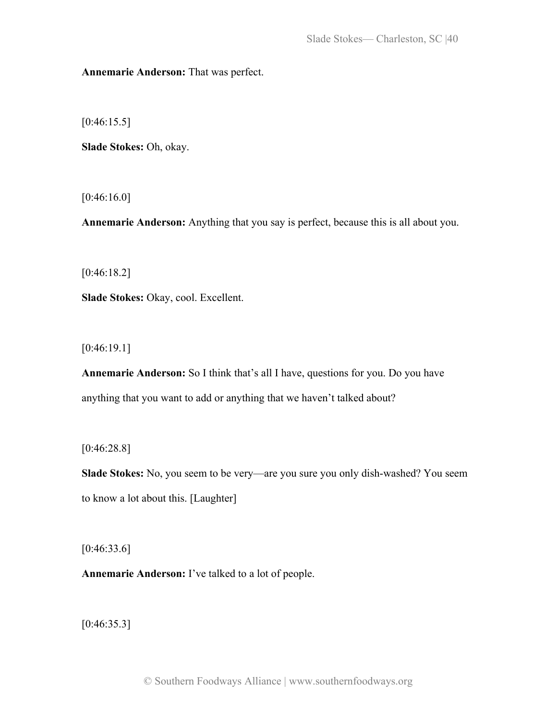**Annemarie Anderson:** That was perfect.

 $[0:46:15.5]$ 

**Slade Stokes:** Oh, okay.

[0:46:16.0]

**Annemarie Anderson:** Anything that you say is perfect, because this is all about you.

[0:46:18.2]

**Slade Stokes:** Okay, cool. Excellent.

[0:46:19.1]

**Annemarie Anderson:** So I think that's all I have, questions for you. Do you have anything that you want to add or anything that we haven't talked about?

[0:46:28.8]

**Slade Stokes:** No, you seem to be very—are you sure you only dish-washed? You seem to know a lot about this. [Laughter]

 $[0:46:33.6]$ 

**Annemarie Anderson:** I've talked to a lot of people.

 $[0:46:35.3]$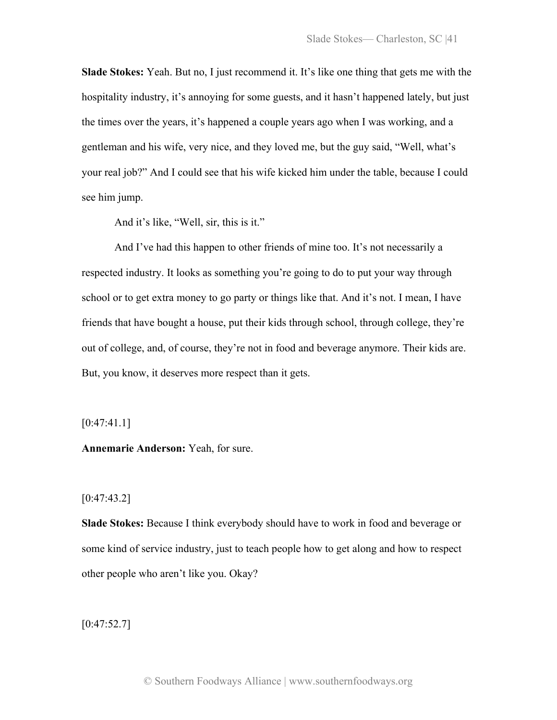**Slade Stokes:** Yeah. But no, I just recommend it. It's like one thing that gets me with the hospitality industry, it's annoying for some guests, and it hasn't happened lately, but just the times over the years, it's happened a couple years ago when I was working, and a gentleman and his wife, very nice, and they loved me, but the guy said, "Well, what's your real job?" And I could see that his wife kicked him under the table, because I could see him jump.

And it's like, "Well, sir, this is it."

And I've had this happen to other friends of mine too. It's not necessarily a respected industry. It looks as something you're going to do to put your way through school or to get extra money to go party or things like that. And it's not. I mean, I have friends that have bought a house, put their kids through school, through college, they're out of college, and, of course, they're not in food and beverage anymore. Their kids are. But, you know, it deserves more respect than it gets.

 $[0:47:41.1]$ 

**Annemarie Anderson:** Yeah, for sure.

#### $[0:47:43.2]$

**Slade Stokes:** Because I think everybody should have to work in food and beverage or some kind of service industry, just to teach people how to get along and how to respect other people who aren't like you. Okay?

 $[0:47:52.7]$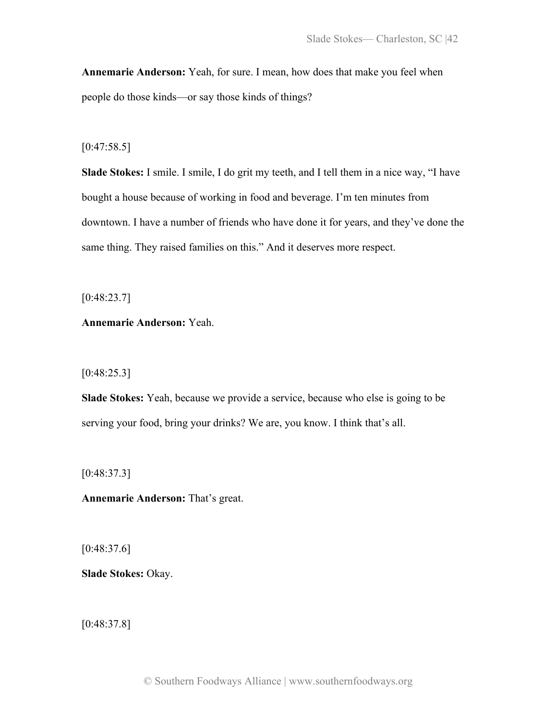**Annemarie Anderson:** Yeah, for sure. I mean, how does that make you feel when people do those kinds—or say those kinds of things?

# $[0:47:58.5]$

**Slade Stokes:** I smile. I smile, I do grit my teeth, and I tell them in a nice way, "I have bought a house because of working in food and beverage. I'm ten minutes from downtown. I have a number of friends who have done it for years, and they've done the same thing. They raised families on this." And it deserves more respect.

[0:48:23.7]

**Annemarie Anderson:** Yeah.

[0:48:25.3]

**Slade Stokes:** Yeah, because we provide a service, because who else is going to be serving your food, bring your drinks? We are, you know. I think that's all.

[0:48:37.3]

**Annemarie Anderson:** That's great.

 $[0:48:37.6]$ 

**Slade Stokes:** Okay.

 $[0:48:37.8]$